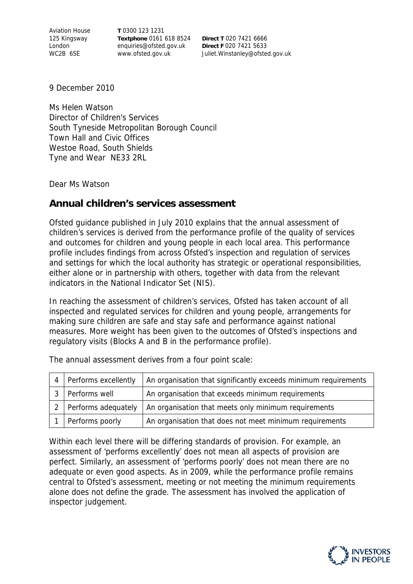Aviation House 125 Kingsway London WC2B 6SE

**T** 0300 123 1231 **Textphone** 0161 618 8524 enquiries@ofsted.gov.uk www.ofsted.gov.uk

**Direct T** 020 7421 6666 **Direct F** 020 7421 5633 Juliet.Winstanley@ofsted.gov.uk

9 December 2010

Ms Helen Watson Director of Children's Services South Tyneside Metropolitan Borough Council Town Hall and Civic Offices Westoe Road, South Shields Tyne and Wear NE33 2RL

Dear Ms Watson

## **Annual children's services assessment**

Ofsted guidance published in July 2010 explains that the annual assessment of children's services is derived from the performance profile of the quality of services and outcomes for children and young people in each local area. This performance profile includes findings from across Ofsted's inspection and regulation of services and settings for which the local authority has strategic or operational responsibilities, either alone or in partnership with others, together with data from the relevant indicators in the National Indicator Set (NIS).

In reaching the assessment of children's services, Ofsted has taken account of all inspected and regulated services for children and young people, arrangements for making sure children are safe and stay safe and performance against national measures. More weight has been given to the outcomes of Ofsted's inspections and regulatory visits (Blocks A and B in the performance profile).

| Performs excellently | An organisation that significantly exceeds minimum requirements |
|----------------------|-----------------------------------------------------------------|
| Performs well        | An organisation that exceeds minimum requirements               |
| Performs adequately  | An organisation that meets only minimum requirements            |
| Performs poorly      | An organisation that does not meet minimum requirements         |

The annual assessment derives from a four point scale:

Within each level there will be differing standards of provision. For example, an assessment of 'performs excellently' does not mean all aspects of provision are perfect. Similarly, an assessment of 'performs poorly' does not mean there are no adequate or even good aspects. As in 2009, while the performance profile remains central to Ofsted's assessment, meeting or not meeting the minimum requirements alone does not define the grade. The assessment has involved the application of inspector judgement.

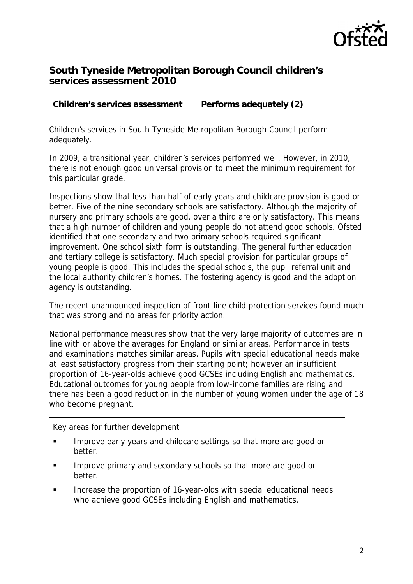

## **South Tyneside Metropolitan Borough Council children's services assessment 2010**

| Children's services assessment | Performs adequately (2) |
|--------------------------------|-------------------------|
|--------------------------------|-------------------------|

Children's services in South Tyneside Metropolitan Borough Council perform adequately.

In 2009, a transitional year, children's services performed well. However, in 2010, there is not enough good universal provision to meet the minimum requirement for this particular grade.

Inspections show that less than half of early years and childcare provision is good or better. Five of the nine secondary schools are satisfactory. Although the majority of nursery and primary schools are good, over a third are only satisfactory. This means that a high number of children and young people do not attend good schools. Ofsted identified that one secondary and two primary schools required significant improvement. One school sixth form is outstanding. The general further education and tertiary college is satisfactory. Much special provision for particular groups of young people is good. This includes the special schools, the pupil referral unit and the local authority children's homes. The fostering agency is good and the adoption agency is outstanding.

The recent unannounced inspection of front-line child protection services found much that was strong and no areas for priority action.

National performance measures show that the very large majority of outcomes are in line with or above the averages for England or similar areas. Performance in tests and examinations matches similar areas. Pupils with special educational needs make at least satisfactory progress from their starting point; however an insufficient proportion of 16-year-olds achieve good GCSEs including English and mathematics. Educational outcomes for young people from low-income families are rising and there has been a good reduction in the number of young women under the age of 18 who become pregnant.

Key areas for further development

- **IMPROVE EXALGO EXA** Improve early years and childcare settings so that more are good or better.
- Improve primary and secondary schools so that more are good or better.
- **Increase the proportion of 16-year-olds with special educational needs** who achieve good GCSEs including English and mathematics.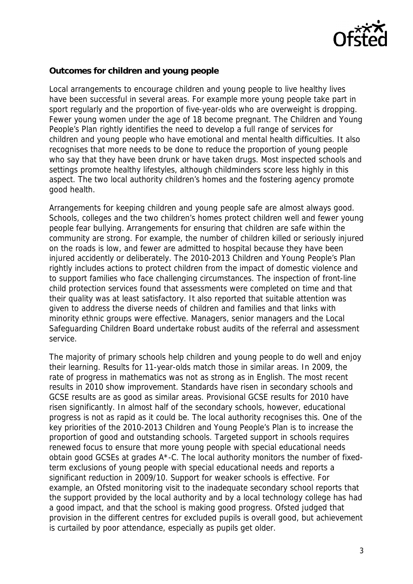

## **Outcomes for children and young people**

Local arrangements to encourage children and young people to live healthy lives have been successful in several areas. For example more young people take part in sport regularly and the proportion of five-year-olds who are overweight is dropping. Fewer young women under the age of 18 become pregnant. The Children and Young People's Plan rightly identifies the need to develop a full range of services for children and young people who have emotional and mental health difficulties. It also recognises that more needs to be done to reduce the proportion of young people who say that they have been drunk or have taken drugs. Most inspected schools and settings promote healthy lifestyles, although childminders score less highly in this aspect. The two local authority children's homes and the fostering agency promote good health.

Arrangements for keeping children and young people safe are almost always good. Schools, colleges and the two children's homes protect children well and fewer young people fear bullying. Arrangements for ensuring that children are safe within the community are strong. For example, the number of children killed or seriously injured on the roads is low, and fewer are admitted to hospital because they have been injured accidently or deliberately. The 2010-2013 Children and Young People's Plan rightly includes actions to protect children from the impact of domestic violence and to support families who face challenging circumstances. The inspection of front-line child protection services found that assessments were completed on time and that their quality was at least satisfactory. It also reported that suitable attention was given to address the diverse needs of children and families and that links with minority ethnic groups were effective. Managers, senior managers and the Local Safeguarding Children Board undertake robust audits of the referral and assessment service.

The majority of primary schools help children and young people to do well and enjoy their learning. Results for 11-year-olds match those in similar areas. In 2009, the rate of progress in mathematics was not as strong as in English. The most recent results in 2010 show improvement. Standards have risen in secondary schools and GCSE results are as good as similar areas. Provisional GCSE results for 2010 have risen significantly. In almost half of the secondary schools, however, educational progress is not as rapid as it could be. The local authority recognises this. One of the key priorities of the 2010-2013 Children and Young People's Plan is to increase the proportion of good and outstanding schools. Targeted support in schools requires renewed focus to ensure that more young people with special educational needs obtain good GCSEs at grades A\*-C. The local authority monitors the number of fixedterm exclusions of young people with special educational needs and reports a significant reduction in 2009/10. Support for weaker schools is effective. For example, an Ofsted monitoring visit to the inadequate secondary school reports that the support provided by the local authority and by a local technology college has had a good impact, and that the school is making good progress. Ofsted judged that provision in the different centres for excluded pupils is overall good, but achievement is curtailed by poor attendance, especially as pupils get older.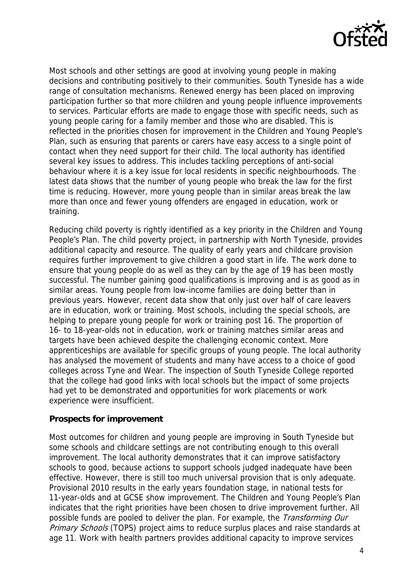

Most schools and other settings are good at involving young people in making decisions and contributing positively to their communities. South Tyneside has a wide range of consultation mechanisms. Renewed energy has been placed on improving participation further so that more children and young people influence improvements to services. Particular efforts are made to engage those with specific needs, such as young people caring for a family member and those who are disabled. This is reflected in the priorities chosen for improvement in the Children and Young People's Plan, such as ensuring that parents or carers have easy access to a single point of contact when they need support for their child. The local authority has identified several key issues to address. This includes tackling perceptions of anti-social behaviour where it is a key issue for local residents in specific neighbourhoods. The latest data shows that the number of young people who break the law for the first time is reducing. However, more young people than in similar areas break the law more than once and fewer young offenders are engaged in education, work or training.

Reducing child poverty is rightly identified as a key priority in the Children and Young People's Plan. The child poverty project, in partnership with North Tyneside, provides additional capacity and resource. The quality of early years and childcare provision requires further improvement to give children a good start in life. The work done to ensure that young people do as well as they can by the age of 19 has been mostly successful. The number gaining good qualifications is improving and is as good as in similar areas. Young people from low-income families are doing better than in previous years. However, recent data show that only just over half of care leavers are in education, work or training. Most schools, including the special schools, are helping to prepare young people for work or training post 16. The proportion of 16- to 18-year-olds not in education, work or training matches similar areas and targets have been achieved despite the challenging economic context. More apprenticeships are available for specific groups of young people. The local authority has analysed the movement of students and many have access to a choice of good colleges across Tyne and Wear. The inspection of South Tyneside College reported that the college had good links with local schools but the impact of some projects had yet to be demonstrated and opportunities for work placements or work experience were insufficient.

## **Prospects for improvement**

Most outcomes for children and young people are improving in South Tyneside but some schools and childcare settings are not contributing enough to this overall improvement. The local authority demonstrates that it can improve satisfactory schools to good, because actions to support schools judged inadequate have been effective. However, there is still too much universal provision that is only adequate. Provisional 2010 results in the early years foundation stage, in national tests for 11-year-olds and at GCSE show improvement. The Children and Young People's Plan indicates that the right priorities have been chosen to drive improvement further. All possible funds are pooled to deliver the plan. For example, the *Transforming Our* Primary Schools (TOPS) project aims to reduce surplus places and raise standards at age 11. Work with health partners provides additional capacity to improve services